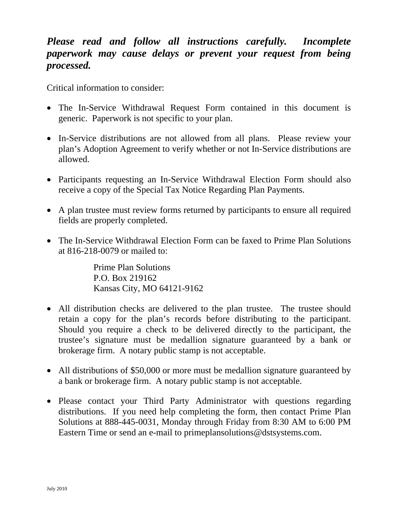# *Please read and follow all instructions carefully. Incomplete paperwork may cause delays or prevent your request from being processed.*

Critical information to consider:

- The In-Service Withdrawal Request Form contained in this document is generic. Paperwork is not specific to your plan.
- In-Service distributions are not allowed from all plans. Please review your plan's Adoption Agreement to verify whether or not In-Service distributions are allowed.
- Participants requesting an In-Service Withdrawal Election Form should also receive a copy of the Special Tax Notice Regarding Plan Payments.
- A plan trustee must review forms returned by participants to ensure all required fields are properly completed.
- The In-Service Withdrawal Election Form can be faxed to Prime Plan Solutions at 816-218-0079 or mailed to:

Prime Plan Solutions P.O. Box 219162 Kansas City, MO 64121-9162

- All distribution checks are delivered to the plan trustee. The trustee should retain a copy for the plan's records before distributing to the participant. Should you require a check to be delivered directly to the participant, the trustee's signature must be medallion signature guaranteed by a bank or brokerage firm. A notary public stamp is not acceptable.
- All distributions of \$50,000 or more must be medallion signature guaranteed by a bank or brokerage firm. A notary public stamp is not acceptable.
- Please contact your Third Party Administrator with questions regarding distributions. If you need help completing the form, then contact Prime Plan Solutions at 888-445-0031, Monday through Friday from 8:30 AM to 6:00 PM Eastern Time or send an e-mail to primeplansolutions@dstsystems.com.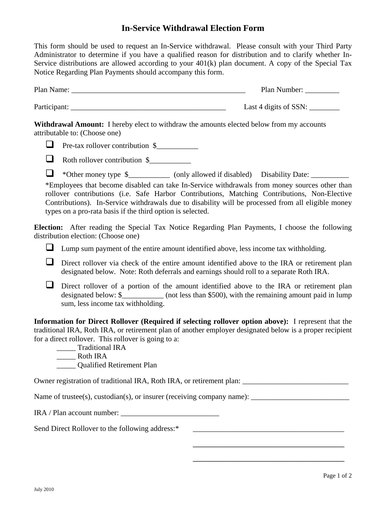## **In-Service Withdrawal Election Form**

This form should be used to request an In-Service withdrawal. Please consult with your Third Party Administrator to determine if you have a qualified reason for distribution and to clarify whether In-Service distributions are allowed according to your 401(k) plan document. A copy of the Special Tax Notice Regarding Plan Payments should accompany this form.

| Plan Name:   | Plan Number:          |
|--------------|-----------------------|
| Participant: | Last 4 digits of SSN: |

**Withdrawal Amount:** I hereby elect to withdraw the amounts elected below from my accounts attributable to: (Choose one)

 $\Box$  Pre-tax rollover contribution \$



 $\Box$  \*Other money type  $\$\underline{\hspace{1cm}}$  (only allowed if disabled) Disability Date:  $\Box$ 

\*Employees that become disabled can take In-Service withdrawals from money sources other than rollover contributions (i.e. Safe Harbor Contributions, Matching Contributions, Non-Elective Contributions). In-Service withdrawals due to disability will be processed from all eligible money types on a pro-rata basis if the third option is selected.

**Election:** After reading the Special Tax Notice Regarding Plan Payments, I choose the following distribution election: (Choose one)

 $\Box$  Lump sum payment of the entire amount identified above, less income tax withholding.

- Direct rollover via check of the entire amount identified above to the IRA or retirement plan designated below. Note: Roth deferrals and earnings should roll to a separate Roth IRA.
- Direct rollover of a portion of the amount identified above to the IRA or retirement plan designated below: \$ (not less than \$500), with the remaining amount paid in lump sum, less income tax withholding.

**Information for Direct Rollover (Required if selecting rollover option above):** I represent that the traditional IRA, Roth IRA, or retirement plan of another employer designated below is a proper recipient for a direct rollover. This rollover is going to a:

\_\_\_\_\_ Traditional IRA

\_\_\_\_\_ Roth IRA

\_\_\_\_\_ Qualified Retirement Plan

Owner registration of traditional IRA, Roth IRA, or retirement plan:

Name of trustee(s), custodian(s), or insurer (receiving company name): \_\_\_\_\_\_\_\_\_\_\_\_\_\_\_\_\_\_\_\_\_\_\_\_\_\_

IRA / Plan account number: \_\_\_\_\_\_\_\_\_\_\_\_\_\_\_\_\_\_\_\_\_\_\_\_\_\_

Send Direct Rollover to the following address:\* \_\_\_\_\_\_\_\_\_\_\_\_\_\_\_\_\_\_\_\_\_\_\_\_\_\_\_\_\_\_\_\_\_

\_\_\_\_\_\_\_\_\_\_\_\_\_\_\_\_\_\_\_\_\_\_\_\_\_\_\_\_\_\_\_\_\_\_\_\_

\_\_\_\_\_\_\_\_\_\_\_\_\_\_\_\_\_\_\_\_\_\_\_\_\_\_\_\_\_\_\_\_\_\_\_\_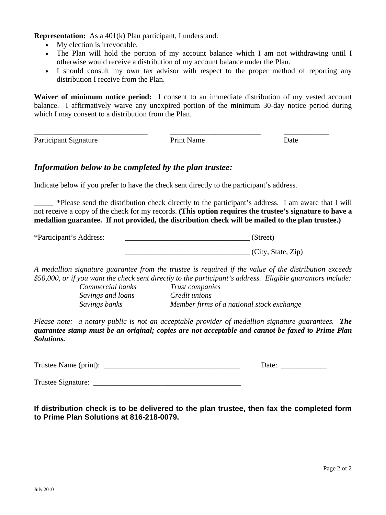**Representation:** As a 401(k) Plan participant, I understand:

- My election is irrevocable.
- The Plan will hold the portion of my account balance which I am not withdrawing until I otherwise would receive a distribution of my account balance under the Plan.
- I should consult my own tax advisor with respect to the proper method of reporting any distribution I receive from the Plan.

**Waiver of minimum notice period:** I consent to an immediate distribution of my vested account balance. I affirmatively waive any unexpired portion of the minimum 30-day notice period during which I may consent to a distribution from the Plan.

Participant Signature Print Name Date

\_\_\_\_\_\_\_\_\_\_\_\_\_\_\_\_\_\_\_\_\_\_\_\_\_\_\_\_\_\_ \_\_\_\_\_\_\_\_\_\_\_\_\_\_\_\_\_\_\_\_\_\_\_\_ \_\_\_\_\_\_\_\_\_\_\_\_

## *Information below to be completed by the plan trustee:*

Indicate below if you prefer to have the check sent directly to the participant's address.

\_\_\_\_\_ \*Please send the distribution check directly to the participant's address. I am aware that I will not receive a copy of the check for my records. **(This option requires the trustee's signature to have a medallion guarantee. If not provided, the distribution check will be mailed to the plan trustee.)** 

\*Participant's Address: \_\_\_\_\_\_\_\_\_\_\_\_\_\_\_\_\_\_\_\_\_\_\_\_\_\_\_\_\_\_\_\_\_ (Street)  $(City, State, Zip)$ 

*A medallion signature guarantee from the trustee is required if the value of the distribution exceeds \$50,000, or if you want the check sent directly to the participant's address. Eligible guarantors include:* 

*Commercial banks Trust companies Savings and loans Credit unions Savings banks Member firms of a national stock exchange* 

*Please note: a notary public is not an acceptable provider of medallion signature guarantees. The guarantee stamp must be an original; copies are not acceptable and cannot be faxed to Prime Plan Solutions.* 

Trustee Name (print): \_\_\_\_\_\_\_\_\_\_\_\_\_\_\_\_\_\_\_\_\_\_\_\_\_\_\_\_\_\_\_\_\_\_\_\_ Date: \_\_\_\_\_\_\_\_\_\_\_\_

Trustee Signature: \_\_\_\_\_\_\_\_\_\_\_\_\_\_\_\_\_\_\_\_\_\_\_\_\_\_\_\_\_\_\_\_\_\_\_\_\_\_\_

**If distribution check is to be delivered to the plan trustee, then fax the completed form to Prime Plan Solutions at 816-218-0079.**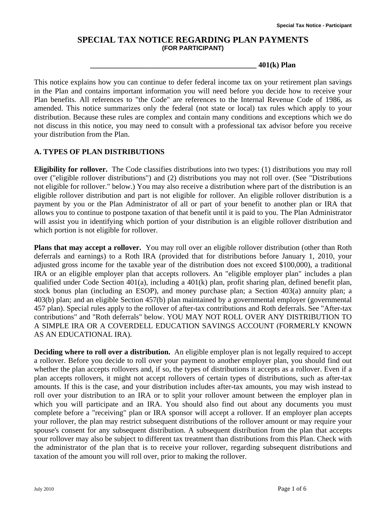## **SPECIAL TAX NOTICE REGARDING PLAN PAYMENTS (FOR PARTICIPANT)**

**\_\_\_\_\_\_\_\_\_\_\_\_\_\_\_\_\_\_\_\_\_\_\_\_\_\_\_\_\_\_\_\_\_\_\_\_\_\_\_\_\_\_\_\_ 401(k) Plan** 

This notice explains how you can continue to defer federal income tax on your retirement plan savings in the Plan and contains important information you will need before you decide how to receive your Plan benefits. All references to "the Code" are references to the Internal Revenue Code of 1986, as amended. This notice summarizes only the federal (not state or local) tax rules which apply to your distribution. Because these rules are complex and contain many conditions and exceptions which we do not discuss in this notice, you may need to consult with a professional tax advisor before you receive your distribution from the Plan.

### **A. TYPES OF PLAN DISTRIBUTIONS**

**Eligibility for rollover.** The Code classifies distributions into two types: (1) distributions you may roll over ("eligible rollover distributions") and (2) distributions you may not roll over. (See "Distributions not eligible for rollover." below.) You may also receive a distribution where part of the distribution is an eligible rollover distribution and part is not eligible for rollover. An eligible rollover distribution is a payment by you or the Plan Administrator of all or part of your benefit to another plan or IRA that allows you to continue to postpone taxation of that benefit until it is paid to you. The Plan Administrator will assist you in identifying which portion of your distribution is an eligible rollover distribution and which portion is not eligible for rollover.

**Plans that may accept a rollover.** You may roll over an eligible rollover distribution (other than Roth deferrals and earnings) to a Roth IRA (provided that for distributions before January 1, 2010, your adjusted gross income for the taxable year of the distribution does not exceed \$100,000), a traditional IRA or an eligible employer plan that accepts rollovers. An "eligible employer plan" includes a plan qualified under Code Section 401(a), including a 401(k) plan, profit sharing plan, defined benefit plan, stock bonus plan (including an ESOP), and money purchase plan; a Section 403(a) annuity plan; a 403(b) plan; and an eligible Section 457(b) plan maintained by a governmental employer (governmental 457 plan). Special rules apply to the rollover of after-tax contributions and Roth deferrals. See "After-tax contributions" and "Roth deferrals" below. YOU MAY NOT ROLL OVER ANY DISTRIBUTION TO A SIMPLE IRA OR A COVERDELL EDUCATION SAVINGS ACCOUNT (FORMERLY KNOWN AS AN EDUCATIONAL IRA).

**Deciding where to roll over a distribution.** An eligible employer plan is not legally required to accept a rollover. Before you decide to roll over your payment to another employer plan, you should find out whether the plan accepts rollovers and, if so, the types of distributions it accepts as a rollover. Even if a plan accepts rollovers, it might not accept rollovers of certain types of distributions, such as after-tax amounts. If this is the case, and your distribution includes after-tax amounts, you may wish instead to roll over your distribution to an IRA or to split your rollover amount between the employer plan in which you will participate and an IRA. You should also find out about any documents you must complete before a "receiving" plan or IRA sponsor will accept a rollover. If an employer plan accepts your rollover, the plan may restrict subsequent distributions of the rollover amount or may require your spouse's consent for any subsequent distribution. A subsequent distribution from the plan that accepts your rollover may also be subject to different tax treatment than distributions from this Plan. Check with the administrator of the plan that is to receive your rollover, regarding subsequent distributions and taxation of the amount you will roll over, prior to making the rollover.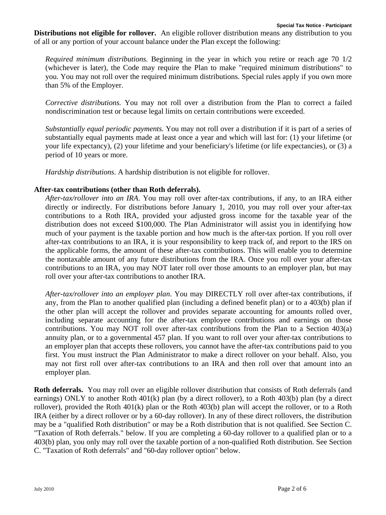**Distributions not eligible for rollover.** An eligible rollover distribution means any distribution to you of all or any portion of your account balance under the Plan except the following:

*Required minimum distributions.* Beginning in the year in which you retire or reach age 70 1/2 (whichever is later), the Code may require the Plan to make "required minimum distributions" to you. You may not roll over the required minimum distributions. Special rules apply if you own more than 5% of the Employer.

*Corrective distributions.* You may not roll over a distribution from the Plan to correct a failed nondiscrimination test or because legal limits on certain contributions were exceeded.

*Substantially equal periodic payments.* You may not roll over a distribution if it is part of a series of substantially equal payments made at least once a year and which will last for: (1) your lifetime (or your life expectancy), (2) your lifetime and your beneficiary's lifetime (or life expectancies), or (3) a period of 10 years or more.

*Hardship distributions*. A hardship distribution is not eligible for rollover.

#### **After-tax contributions (other than Roth deferrals).**

*After-tax/rollover into an IRA*. You may roll over after-tax contributions, if any, to an IRA either directly or indirectly. For distributions before January 1, 2010, you may roll over your after-tax contributions to a Roth IRA, provided your adjusted gross income for the taxable year of the distribution does not exceed \$100,000. The Plan Administrator will assist you in identifying how much of your payment is the taxable portion and how much is the after-tax portion. If you roll over after-tax contributions to an IRA, it is your responsibility to keep track of, and report to the IRS on the applicable forms, the amount of these after-tax contributions. This will enable you to determine the nontaxable amount of any future distributions from the IRA. Once you roll over your after-tax contributions to an IRA, you may NOT later roll over those amounts to an employer plan, but may roll over your after-tax contributions to another IRA.

*After-tax/rollover into an employer plan*. You may DIRECTLY roll over after-tax contributions, if any, from the Plan to another qualified plan (including a defined benefit plan) or to a 403(b) plan if the other plan will accept the rollover and provides separate accounting for amounts rolled over, including separate accounting for the after-tax employee contributions and earnings on those contributions. You may NOT roll over after-tax contributions from the Plan to a Section 403(a) annuity plan, or to a governmental 457 plan. If you want to roll over your after-tax contributions to an employer plan that accepts these rollovers, you cannot have the after-tax contributions paid to you first. You must instruct the Plan Administrator to make a direct rollover on your behalf. Also, you may not first roll over after-tax contributions to an IRA and then roll over that amount into an employer plan.

**Roth deferrals.** You may roll over an eligible rollover distribution that consists of Roth deferrals (and earnings) ONLY to another Roth 401(k) plan (by a direct rollover), to a Roth 403(b) plan (by a direct rollover), provided the Roth 401(k) plan or the Roth 403(b) plan will accept the rollover, or to a Roth IRA (either by a direct rollover or by a 60-day rollover). In any of these direct rollovers, the distribution may be a "qualified Roth distribution" or may be a Roth distribution that is not qualified. See Section C. "Taxation of Roth deferrals." below. If you are completing a 60-day rollover to a qualified plan or to a 403(b) plan, you only may roll over the taxable portion of a non-qualified Roth distribution. See Section C. "Taxation of Roth deferrals" and "60-day rollover option" below.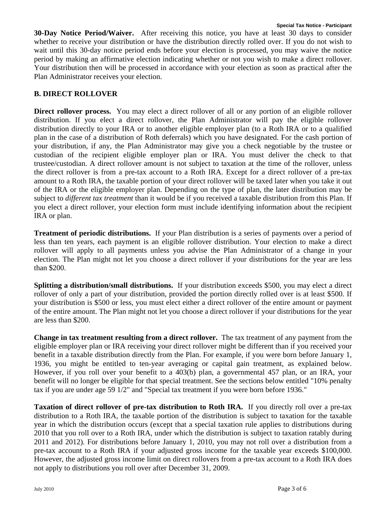**30-Day Notice Period/Waiver.** After receiving this notice, you have at least 30 days to consider whether to receive your distribution or have the distribution directly rolled over. If you do not wish to wait until this 30-day notice period ends before your election is processed, you may waive the notice period by making an affirmative election indicating whether or not you wish to make a direct rollover. Your distribution then will be processed in accordance with your election as soon as practical after the Plan Administrator receives your election.

### **B. DIRECT ROLLOVER**

**Direct rollover process.** You may elect a direct rollover of all or any portion of an eligible rollover distribution. If you elect a direct rollover, the Plan Administrator will pay the eligible rollover distribution directly to your IRA or to another eligible employer plan (to a Roth IRA or to a qualified plan in the case of a distribution of Roth deferrals) which you have designated. For the cash portion of your distribution, if any, the Plan Administrator may give you a check negotiable by the trustee or custodian of the recipient eligible employer plan or IRA. You must deliver the check to that trustee/custodian. A direct rollover amount is not subject to taxation at the time of the rollover, unless the direct rollover is from a pre-tax account to a Roth IRA. Except for a direct rollover of a pre-tax amount to a Roth IRA, the taxable portion of your direct rollover will be taxed later when you take it out of the IRA or the eligible employer plan. Depending on the type of plan, the later distribution may be subject to *different tax treatment* than it would be if you received a taxable distribution from this Plan. If you elect a direct rollover, your election form must include identifying information about the recipient IRA or plan.

**Treatment of periodic distributions.** If your Plan distribution is a series of payments over a period of less than ten years, each payment is an eligible rollover distribution. Your election to make a direct rollover will apply to all payments unless you advise the Plan Administrator of a change in your election. The Plan might not let you choose a direct rollover if your distributions for the year are less than \$200.

**Splitting a distribution/small distributions.** If your distribution exceeds \$500, you may elect a direct rollover of only a part of your distribution, provided the portion directly rolled over is at least \$500. If your distribution is \$500 or less, you must elect either a direct rollover of the entire amount or payment of the entire amount. The Plan might not let you choose a direct rollover if your distributions for the year are less than \$200.

**Change in tax treatment resulting from a direct rollover.** The tax treatment of any payment from the eligible employer plan or IRA receiving your direct rollover might be different than if you received your benefit in a taxable distribution directly from the Plan. For example, if you were born before January 1, 1936, you might be entitled to ten-year averaging or capital gain treatment, as explained below. However, if you roll over your benefit to a 403(b) plan, a governmental 457 plan, or an IRA, your benefit will no longer be eligible for that special treatment. See the sections below entitled "10% penalty tax if you are under age 59 1/2" and "Special tax treatment if you were born before 1936."

**Taxation of direct rollover of pre-tax distribution to Roth IRA.** If you directly roll over a pre-tax distribution to a Roth IRA, the taxable portion of the distribution is subject to taxation for the taxable year in which the distribution occurs (except that a special taxation rule applies to distributions during 2010 that you roll over to a Roth IRA, under which the distribution is subject to taxation ratably during 2011 and 2012). For distributions before January 1, 2010, you may not roll over a distribution from a pre-tax account to a Roth IRA if your adjusted gross income for the taxable year exceeds \$100,000. However, the adjusted gross income limit on direct rollovers from a pre-tax account to a Roth IRA does not apply to distributions you roll over after December 31, 2009.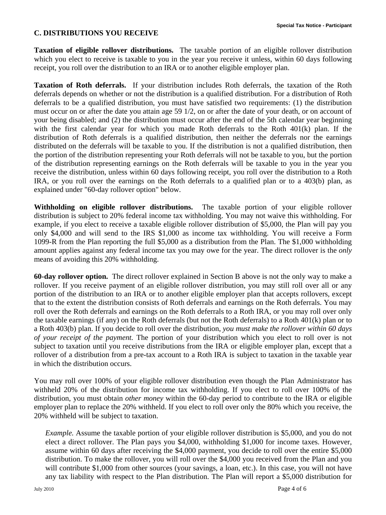#### **C. DISTRIBUTIONS YOU RECEIVE**

**Taxation of eligible rollover distributions.** The taxable portion of an eligible rollover distribution which you elect to receive is taxable to you in the year you receive it unless, within 60 days following receipt, you roll over the distribution to an IRA or to another eligible employer plan.

**Taxation of Roth deferrals.** If your distribution includes Roth deferrals, the taxation of the Roth deferrals depends on whether or not the distribution is a qualified distribution. For a distribution of Roth deferrals to be a qualified distribution, you must have satisfied two requirements: (1) the distribution must occur on or after the date you attain age 59 1/2, on or after the date of your death, or on account of your being disabled; and (2) the distribution must occur after the end of the 5th calendar year beginning with the first calendar year for which you made Roth deferrals to the Roth 401(k) plan. If the distribution of Roth deferrals is a qualified distribution, then neither the deferrals nor the earnings distributed on the deferrals will be taxable to you. If the distribution is not a qualified distribution, then the portion of the distribution representing your Roth deferrals will not be taxable to you, but the portion of the distribution representing earnings on the Roth deferrals will be taxable to you in the year you receive the distribution, unless within 60 days following receipt, you roll over the distribution to a Roth IRA, or you roll over the earnings on the Roth deferrals to a qualified plan or to a 403(b) plan, as explained under "60-day rollover option" below.

**Withholding on eligible rollover distributions.** The taxable portion of your eligible rollover distribution is subject to 20% federal income tax withholding. You may not waive this withholding. For example, if you elect to receive a taxable eligible rollover distribution of \$5,000, the Plan will pay you only \$4,000 and will send to the IRS \$1,000 as income tax withholding. You will receive a Form 1099-R from the Plan reporting the full \$5,000 as a distribution from the Plan. The \$1,000 withholding amount applies against any federal income tax you may owe for the year. The direct rollover is the *only* means of avoiding this 20% withholding.

**60-day rollover option.** The direct rollover explained in Section B above is not the only way to make a rollover. If you receive payment of an eligible rollover distribution, you may still roll over all or any portion of the distribution to an IRA or to another eligible employer plan that accepts rollovers, except that to the extent the distribution consists of Roth deferrals and earnings on the Roth deferrals. You may roll over the Roth deferrals and earnings on the Roth deferrals to a Roth IRA, or you may roll over only the taxable earnings (if any) on the Roth deferrals (but not the Roth deferrals) to a Roth 401(k) plan or to a Roth 403(b) plan. If you decide to roll over the distribution, *you must make the rollover within 60 days of your receipt of the payment.* The portion of your distribution which you elect to roll over is not subject to taxation until you receive distributions from the IRA or eligible employer plan, except that a rollover of a distribution from a pre-tax account to a Roth IRA is subject to taxation in the taxable year in which the distribution occurs.

You may roll over 100% of your eligible rollover distribution even though the Plan Administrator has withheld 20% of the distribution for income tax withholding. If you elect to roll over 100% of the distribution, you must obtain *other money* within the 60-day period to contribute to the IRA or eligible employer plan to replace the 20% withheld. If you elect to roll over only the 80% which you receive, the 20% withheld will be subject to taxation.

*Example.* Assume the taxable portion of your eligible rollover distribution is \$5,000, and you do not elect a direct rollover. The Plan pays you \$4,000, withholding \$1,000 for income taxes. However, assume within 60 days after receiving the \$4,000 payment, you decide to roll over the entire \$5,000 distribution. To make the rollover, you will roll over the \$4,000 you received from the Plan and you will contribute \$1,000 from other sources (your savings, a loan, etc.). In this case, you will not have any tax liability with respect to the Plan distribution. The Plan will report a \$5,000 distribution for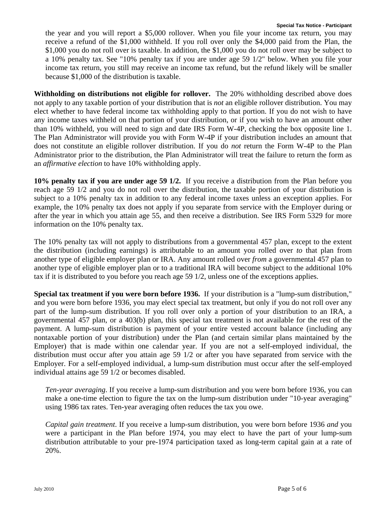the year and you will report a \$5,000 rollover. When you file your income tax return, you may receive a refund of the \$1,000 withheld. If you roll over only the \$4,000 paid from the Plan, the \$1,000 you do not roll over is taxable. In addition, the \$1,000 you do not roll over may be subject to a 10% penalty tax. See "10% penalty tax if you are under age 59 1/2" below. When you file your income tax return, you still may receive an income tax refund, but the refund likely will be smaller because \$1,000 of the distribution is taxable.

**Withholding on distributions not eligible for rollover.** The 20% withholding described above does not apply to any taxable portion of your distribution that is *not* an eligible rollover distribution. You may elect whether to have federal income tax withholding apply to that portion. If you do not wish to have any income taxes withheld on that portion of your distribution, or if you wish to have an amount other than 10% withheld, you will need to sign and date IRS Form W-4P, checking the box opposite line 1. The Plan Administrator will provide you with Form W-4P if your distribution includes an amount that does not constitute an eligible rollover distribution. If you do *not* return the Form W-4P to the Plan Administrator prior to the distribution, the Plan Administrator will treat the failure to return the form as an *affirmative election* to have 10% withholding apply.

**10% penalty tax if you are under age 59 1/2.** If you receive a distribution from the Plan before you reach age 59 1/2 and you do not roll over the distribution, the taxable portion of your distribution is subject to a 10% penalty tax in addition to any federal income taxes unless an exception applies. For example, the 10% penalty tax does not apply if you separate from service with the Employer during or after the year in which you attain age 55, and then receive a distribution. See IRS Form 5329 for more information on the 10% penalty tax.

The 10% penalty tax will not apply to distributions from a governmental 457 plan, except to the extent the distribution (including earnings) is attributable to an amount you rolled over *to* that plan from another type of eligible employer plan or IRA. Any amount rolled over *from* a governmental 457 plan to another type of eligible employer plan or to a traditional IRA will become subject to the additional 10% tax if it is distributed to you before you reach age 59 1/2, unless one of the exceptions applies.

**Special tax treatment if you were born before 1936.** If your distribution is a "lump-sum distribution," and you were born before 1936, you may elect special tax treatment, but only if you do not roll over any part of the lump-sum distribution. If you roll over only a portion of your distribution to an IRA, a governmental 457 plan, or a 403(b) plan, this special tax treatment is not available for the rest of the payment. A lump-sum distribution is payment of your entire vested account balance (including any nontaxable portion of your distribution) under the Plan (and certain similar plans maintained by the Employer) that is made within one calendar year. If you are not a self-employed individual, the distribution must occur after you attain age 59 1/2 or after you have separated from service with the Employer. For a self-employed individual, a lump-sum distribution must occur after the self-employed individual attains age 59 1/2 or becomes disabled.

*Ten-year averaging*. If you receive a lump-sum distribution and you were born before 1936, you can make a one-time election to figure the tax on the lump-sum distribution under "10-year averaging" using 1986 tax rates. Ten-year averaging often reduces the tax you owe.

*Capital gain treatment*. If you receive a lump-sum distribution, you were born before 1936 *and* you were a participant in the Plan before 1974, you may elect to have the part of your lump-sum distribution attributable to your pre-1974 participation taxed as long-term capital gain at a rate of 20%.